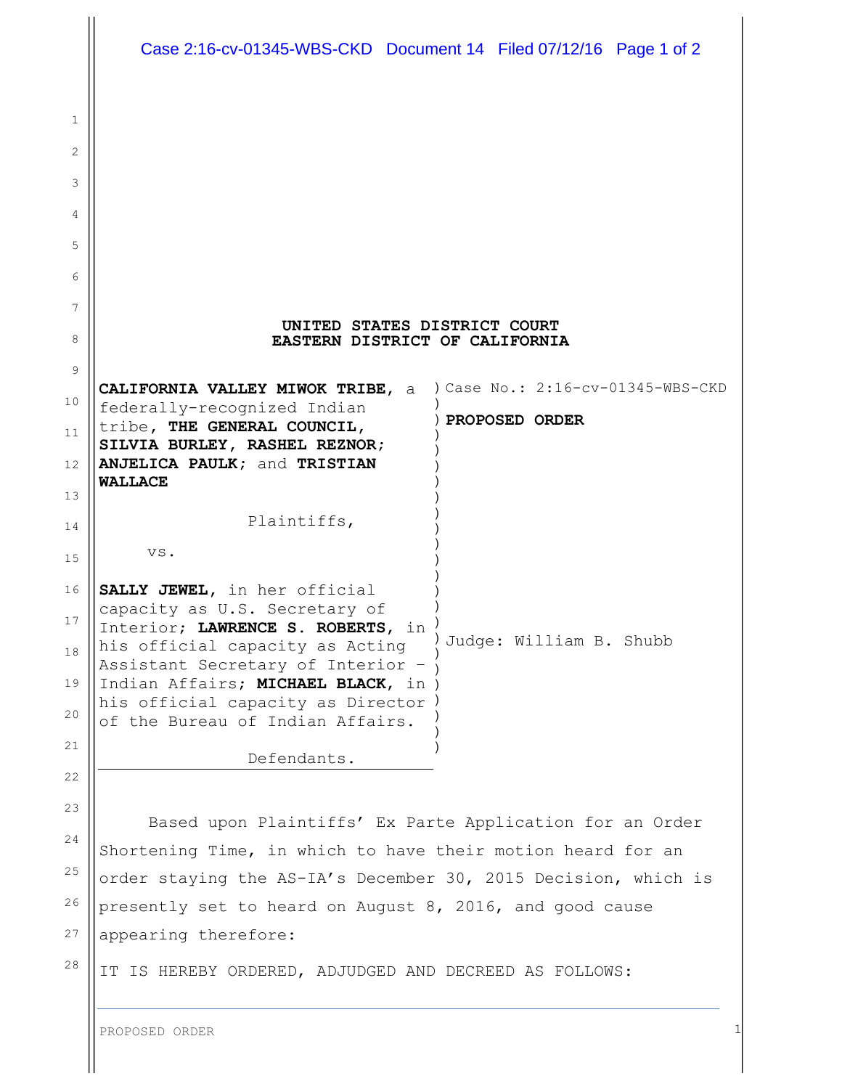|    | Case 2:16-cv-01345-WBS-CKD Document 14 Filed 07/12/16 Page 1 of 2        |                                   |
|----|--------------------------------------------------------------------------|-----------------------------------|
| 1  |                                                                          |                                   |
| 2  |                                                                          |                                   |
| 3  |                                                                          |                                   |
| 4  |                                                                          |                                   |
| 5  |                                                                          |                                   |
| 6  |                                                                          |                                   |
| 7  |                                                                          |                                   |
| 8  | UNITED STATES DISTRICT COURT<br>EASTERN DISTRICT OF CALIFORNIA           |                                   |
| 9  |                                                                          |                                   |
| 10 | CALIFORNIA VALLEY MIWOK TRIBE, a<br>federally-recognized Indian          | ) Case No.: 2:16-cv-01345-WBS-CKD |
| 11 | tribe, THE GENERAL COUNCIL,<br>SILVIA BURLEY, RASHEL REZNOR;             | <b>PROPOSED ORDER</b>             |
| 12 | ANJELICA PAULK; and TRISTIAN                                             |                                   |
| 13 | <b>WALLACE</b>                                                           |                                   |
| 14 | Plaintiffs,                                                              |                                   |
| 15 | VS.                                                                      |                                   |
| 16 | SALLY JEWEL, in her official<br>capacity as U.S. Secretary of            |                                   |
| 17 | Interior; LAWRENCE S. ROBERTS, in                                        | Judge: William B. Shubb           |
| 18 | his official capacity as Acting<br>Assistant Secretary of Interior -     |                                   |
| 19 | Indian Affairs; MICHAEL BLACK, in<br>his official capacity as Director ) |                                   |
| 20 | of the Bureau of Indian Affairs.                                         |                                   |
| 21 | Defendants.                                                              |                                   |
| 22 |                                                                          |                                   |
| 23 | Based upon Plaintiffs' Ex Parte Application for an Order                 |                                   |
| 24 | Shortening Time, in which to have their motion heard for an              |                                   |
| 25 | order staying the AS-IA's December 30, 2015 Decision, which is           |                                   |
| 26 | presently set to heard on August 8, 2016, and good cause                 |                                   |
| 27 | appearing therefore:                                                     |                                   |
| 28 | IT IS HEREBY ORDERED, ADJUDGED AND DECREED AS FOLLOWS:                   |                                   |
|    |                                                                          |                                   |
|    | PROPOSED ORDER                                                           |                                   |

 $\mathbb{I}$